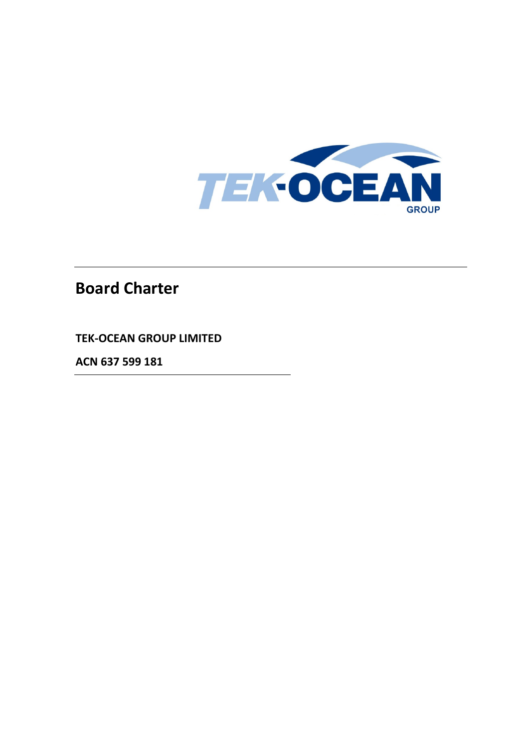

# **Board Charter**

**TEK-OCEAN GROUP LIMITED**

**ACN 637 599 181**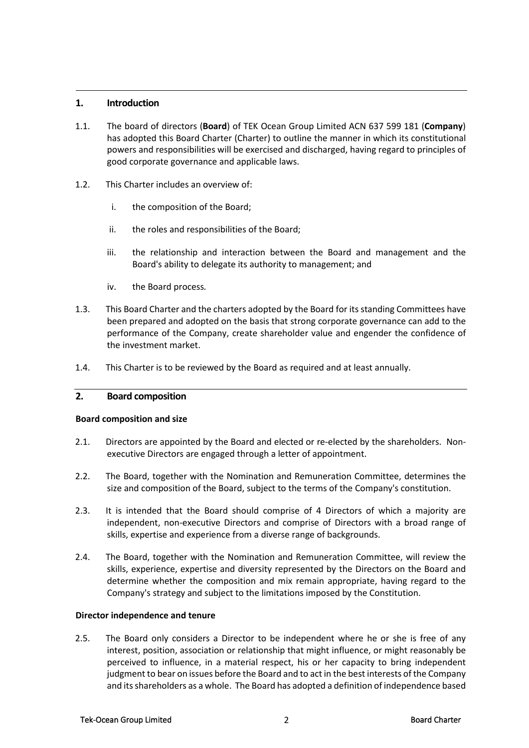# **1. Introduction**

- 1.1. The board of directors (**Board**) of TEK Ocean Group Limited ACN 637 599 181 (**Company**) has adopted this Board Charter (Charter) to outline the manner in which its constitutional powers and responsibilities will be exercised and discharged, having regard to principles of good corporate governance and applicable laws.
- 1.2. This Charter includes an overview of:
	- i. the composition of the Board;
	- ii. the roles and responsibilities of the Board;
	- iii. the relationship and interaction between the Board and management and the Board's ability to delegate its authority to management; and
	- iv. the Board process*.*
- 1.3. This Board Charter and the charters adopted by the Board for its standing Committees have been prepared and adopted on the basis that strong corporate governance can add to the performance of the Company, create shareholder value and engender the confidence of the investment market.
- 1.4. This Charter is to be reviewed by the Board as required and at least annually.

# **2. Board composition**

#### **Board composition and size**

- 2.1. Directors are appointed by the Board and elected or re-elected by the shareholders. Nonexecutive Directors are engaged through a letter of appointment.
- 2.2. The Board, together with the Nomination and Remuneration Committee, determines the size and composition of the Board, subject to the terms of the Company's constitution.
- 2.3. It is intended that the Board should comprise of 4 Directors of which a majority are independent, non-executive Directors and comprise of Directors with a broad range of skills, expertise and experience from a diverse range of backgrounds.
- 2.4. The Board, together with the Nomination and Remuneration Committee, will review the skills, experience, expertise and diversity represented by the Directors on the Board and determine whether the composition and mix remain appropriate, having regard to the Company's strategy and subject to the limitations imposed by the Constitution.

#### **Director independence and tenure**

2.5. The Board only considers a Director to be independent where he or she is free of any interest, position, association or relationship that might influence, or might reasonably be perceived to influence, in a material respect, his or her capacity to bring independent judgment to bear on issues before the Board and to act in the best interests of the Company and its shareholders as a whole. The Board has adopted a definition of independence based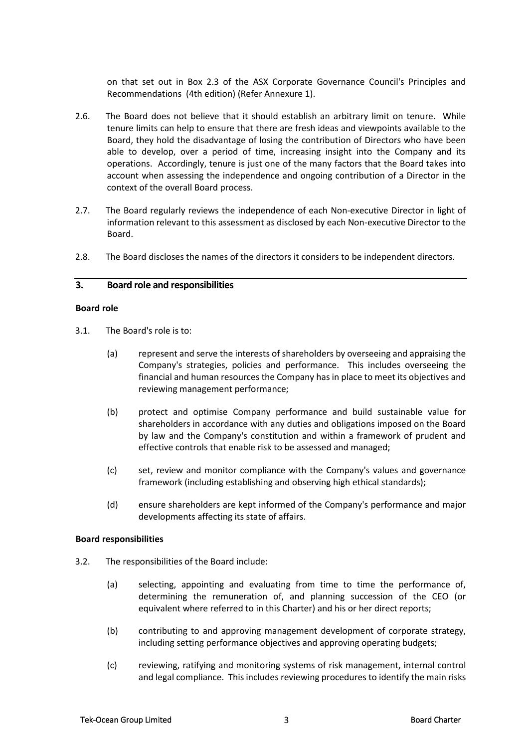on that set out in Box 2.3 of the ASX Corporate Governance Council's Principles and Recommendations (4th edition) (Refer Annexure [1\)](#page-8-0).

- 2.6. The Board does not believe that it should establish an arbitrary limit on tenure. While tenure limits can help to ensure that there are fresh ideas and viewpoints available to the Board, they hold the disadvantage of losing the contribution of Directors who have been able to develop, over a period of time, increasing insight into the Company and its operations. Accordingly, tenure is just one of the many factors that the Board takes into account when assessing the independence and ongoing contribution of a Director in the context of the overall Board process.
- 2.7. The Board regularly reviews the independence of each Non-executive Director in light of information relevant to this assessment as disclosed by each Non-executive Director to the Board.
- 2.8. The Board discloses the names of the directors it considers to be independent directors.

#### **3. Board role and responsibilities**

#### **Board role**

- 3.1. The Board's role is to:
	- (a) represent and serve the interests of shareholders by overseeing and appraising the Company's strategies, policies and performance. This includes overseeing the financial and human resources the Company has in place to meet its objectives and reviewing management performance;
	- (b) protect and optimise Company performance and build sustainable value for shareholders in accordance with any duties and obligations imposed on the Board by law and the Company's constitution and within a framework of prudent and effective controls that enable risk to be assessed and managed;
	- (c) set, review and monitor compliance with the Company's values and governance framework (including establishing and observing high ethical standards);
	- (d) ensure shareholders are kept informed of the Company's performance and major developments affecting its state of affairs.

#### **Board responsibilities**

- 3.2. The responsibilities of the Board include:
	- (a) selecting, appointing and evaluating from time to time the performance of, determining the remuneration of, and planning succession of the CEO (or equivalent where referred to in this Charter) and his or her direct reports;
	- (b) contributing to and approving management development of corporate strategy, including setting performance objectives and approving operating budgets;
	- (c) reviewing, ratifying and monitoring systems of risk management, internal control and legal compliance. This includes reviewing procedures to identify the main risks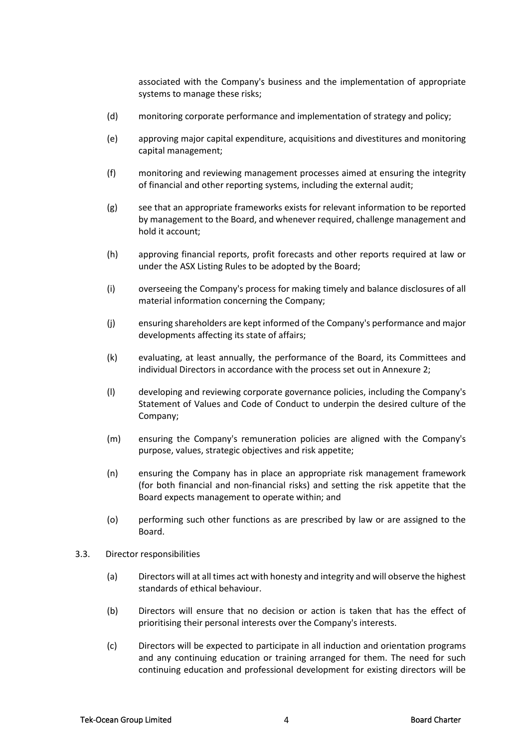associated with the Company's business and the implementation of appropriate systems to manage these risks;

- (d) monitoring corporate performance and implementation of strategy and policy;
- (e) approving major capital expenditure, acquisitions and divestitures and monitoring capital management;
- (f) monitoring and reviewing management processes aimed at ensuring the integrity of financial and other reporting systems, including the external audit;
- (g) see that an appropriate frameworks exists for relevant information to be reported by management to the Board, and whenever required, challenge management and hold it account;
- (h) approving financial reports, profit forecasts and other reports required at law or under the ASX Listing Rules to be adopted by the Board;
- (i) overseeing the Company's process for making timely and balance disclosures of all material information concerning the Company;
- (j) ensuring shareholders are kept informed of the Company's performance and major developments affecting its state of affairs;
- (k) evaluating, at least annually, the performance of the Board, its Committees and individual Directors in accordance with the process set out in Annexure [2;](#page-10-0)
- (l) developing and reviewing corporate governance policies, including the Company's Statement of Values and Code of Conduct to underpin the desired culture of the Company;
- (m) ensuring the Company's remuneration policies are aligned with the Company's purpose, values, strategic objectives and risk appetite;
- (n) ensuring the Company has in place an appropriate risk management framework (for both financial and non-financial risks) and setting the risk appetite that the Board expects management to operate within; and
- (o) performing such other functions as are prescribed by law or are assigned to the Board.
- 3.3. Director responsibilities
	- (a) Directors will at all times act with honesty and integrity and will observe the highest standards of ethical behaviour.
	- (b) Directors will ensure that no decision or action is taken that has the effect of prioritising their personal interests over the Company's interests.
	- (c) Directors will be expected to participate in all induction and orientation programs and any continuing education or training arranged for them. The need for such continuing education and professional development for existing directors will be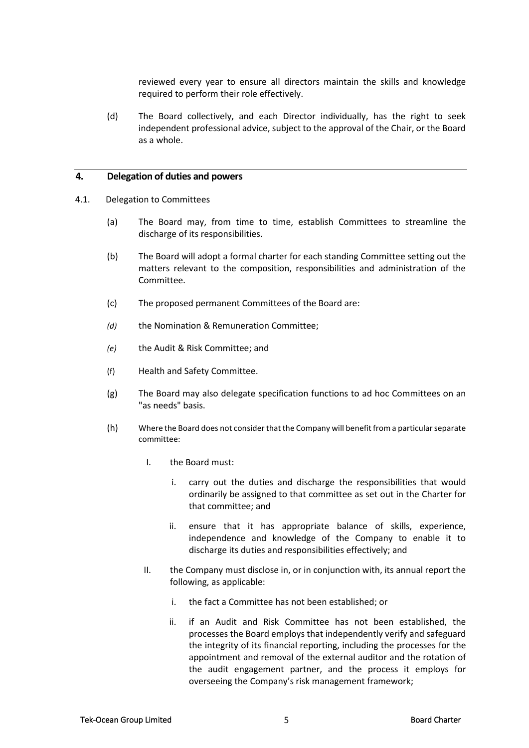reviewed every year to ensure all directors maintain the skills and knowledge required to perform their role effectively.

(d) The Board collectively, and each Director individually, has the right to seek independent professional advice, subject to the approval of the Chair, or the Board as a whole.

#### **4. Delegation of duties and powers**

- <span id="page-4-0"></span>4.1. Delegation to Committees
	- (a) The Board may, from time to time, establish Committees to streamline the discharge of its responsibilities.
	- (b) The Board will adopt a formal charter for each standing Committee setting out the matters relevant to the composition, responsibilities and administration of the Committee.
	- (c) The proposed permanent Committees of the Board are:
	- *(d)* the Nomination & Remuneration Committee;
	- *(e)* the Audit & Risk Committee; and
	- (f) Health and Safety Committee.
	- (g) The Board may also delegate specification functions to ad hoc Committees on an "as needs" basis.
	- (h) Where the Board does not consider that the Company will benefit from a particular separate committee:
		- I. the Board must:
			- i. carry out the duties and discharge the responsibilities that would ordinarily be assigned to that committee as set out in the Charter for that committee; and
			- ii. ensure that it has appropriate balance of skills, experience, independence and knowledge of the Company to enable it to discharge its duties and responsibilities effectively; and
		- II. the Company must disclose in, or in conjunction with, its annual report the following, as applicable:
			- i. the fact a Committee has not been established; or
			- ii. if an Audit and Risk Committee has not been established, the processes the Board employs that independently verify and safeguard the integrity of its financial reporting, including the processes for the appointment and removal of the external auditor and the rotation of the audit engagement partner, and the process it employs for overseeing the Company's risk management framework;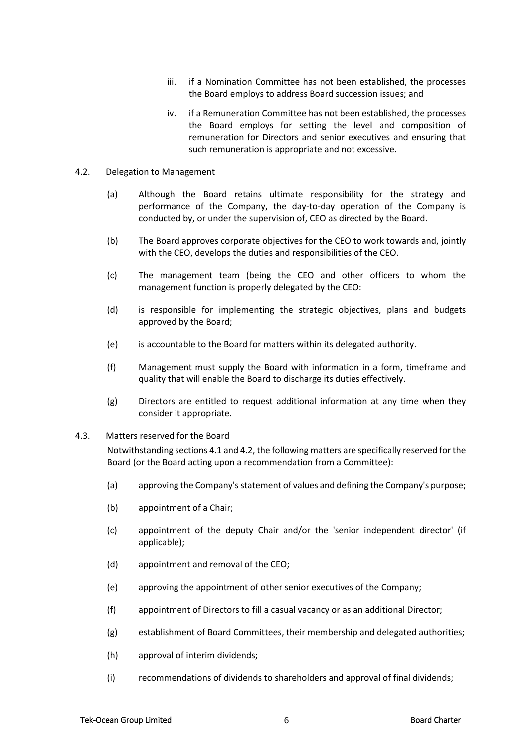- iii. if a Nomination Committee has not been established, the processes the Board employs to address Board succession issues; and
- iv. if a Remuneration Committee has not been established, the processes the Board employs for setting the level and composition of remuneration for Directors and senior executives and ensuring that such remuneration is appropriate and not excessive.
- <span id="page-5-0"></span>4.2. Delegation to Management
	- (a) Although the Board retains ultimate responsibility for the strategy and performance of the Company, the day-to-day operation of the Company is conducted by, or under the supervision of, CEO as directed by the Board.
	- (b) The Board approves corporate objectives for the CEO to work towards and, jointly with the CEO, develops the duties and responsibilities of the CEO.
	- (c) The management team (being the CEO and other officers to whom the management function is properly delegated by the CEO:
	- (d) is responsible for implementing the strategic objectives, plans and budgets approved by the Board;
	- (e) is accountable to the Board for matters within its delegated authority.
	- (f) Management must supply the Board with information in a form, timeframe and quality that will enable the Board to discharge its duties effectively.
	- (g) Directors are entitled to request additional information at any time when they consider it appropriate.
- 4.3. Matters reserved for the Board

Notwithstanding section[s 4.1](#page-4-0) an[d 4.2,](#page-5-0) the following matters are specifically reserved for the Board (or the Board acting upon a recommendation from a Committee):

- (a) approving the Company's statement of values and defining the Company's purpose;
- (b) appointment of a Chair;
- (c) appointment of the deputy Chair and/or the 'senior independent director' (if applicable);
- (d) appointment and removal of the CEO;
- (e) approving the appointment of other senior executives of the Company;
- (f) appointment of Directors to fill a casual vacancy or as an additional Director;
- (g) establishment of Board Committees, their membership and delegated authorities;
- (h) approval of interim dividends;
- (i) recommendations of dividends to shareholders and approval of final dividends;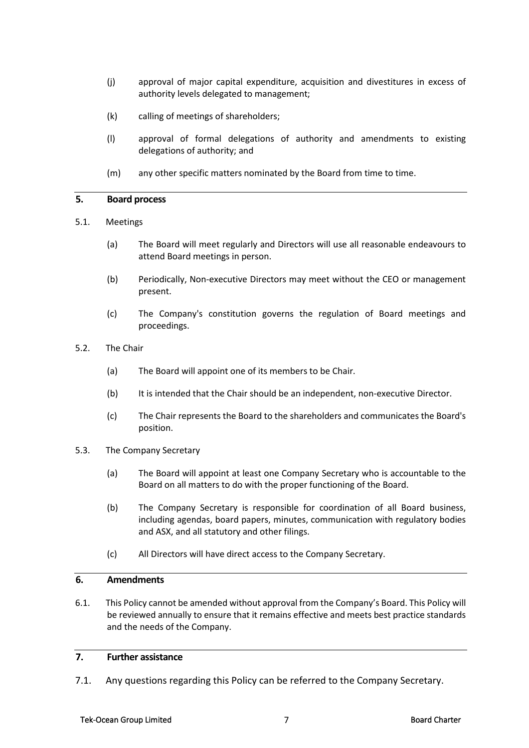- (j) approval of major capital expenditure, acquisition and divestitures in excess of authority levels delegated to management;
- (k) calling of meetings of shareholders;
- (l) approval of formal delegations of authority and amendments to existing delegations of authority; and
- (m) any other specific matters nominated by the Board from time to time.

### **5. Board process**

- 5.1. Meetings
	- (a) The Board will meet regularly and Directors will use all reasonable endeavours to attend Board meetings in person.
	- (b) Periodically, Non-executive Directors may meet without the CEO or management present.
	- (c) The Company's constitution governs the regulation of Board meetings and proceedings.
- 5.2. The Chair
	- (a) The Board will appoint one of its members to be Chair.
	- (b) It is intended that the Chair should be an independent, non-executive Director.
	- (c) The Chair represents the Board to the shareholders and communicates the Board's position.

#### 5.3. The Company Secretary

- (a) The Board will appoint at least one Company Secretary who is accountable to the Board on all matters to do with the proper functioning of the Board.
- (b) The Company Secretary is responsible for coordination of all Board business, including agendas, board papers, minutes, communication with regulatory bodies and ASX, and all statutory and other filings.
- (c) All Directors will have direct access to the Company Secretary.

#### **6. Amendments**

6.1. This Policy cannot be amended without approval from the Company's Board. This Policy will be reviewed annually to ensure that it remains effective and meets best practice standards and the needs of the Company.

# **7. Further assistance**

7.1. Any questions regarding this Policy can be referred to the Company Secretary.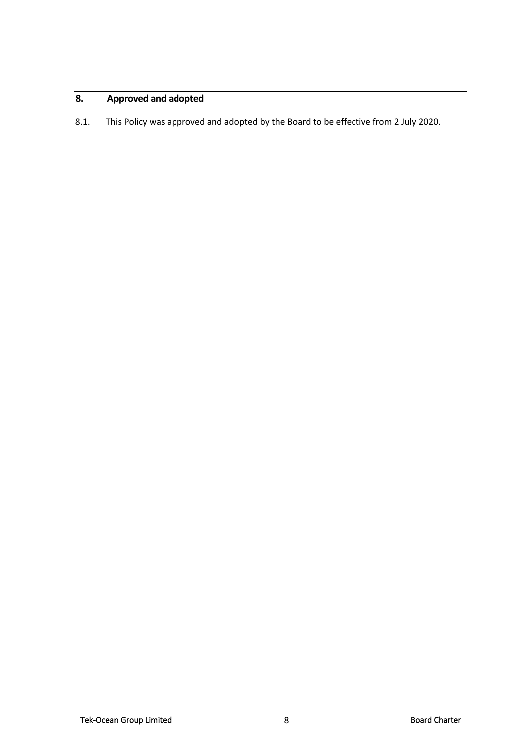# **8. Approved and adopted**

8.1. This Policy was approved and adopted by the Board to be effective from 2 July 2020.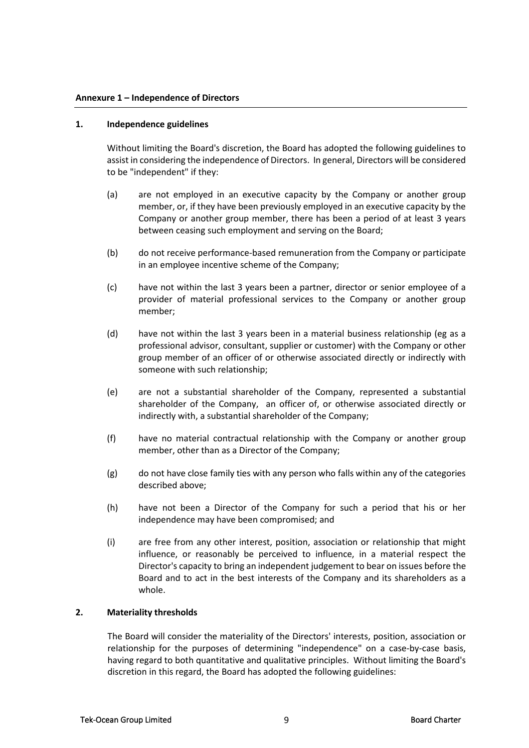#### <span id="page-8-0"></span>**1. Independence guidelines**

Without limiting the Board's discretion, the Board has adopted the following guidelines to assist in considering the independence of Directors. In general, Directors will be considered to be "independent" if they:

- (a) are not employed in an executive capacity by the Company or another group member, or, if they have been previously employed in an executive capacity by the Company or another group member, there has been a period of at least 3 years between ceasing such employment and serving on the Board;
- (b) do not receive performance-based remuneration from the Company or participate in an employee incentive scheme of the Company;
- (c) have not within the last 3 years been a partner, director or senior employee of a provider of material professional services to the Company or another group member;
- (d) have not within the last 3 years been in a material business relationship (eg as a professional advisor, consultant, supplier or customer) with the Company or other group member of an officer of or otherwise associated directly or indirectly with someone with such relationship;
- (e) are not a substantial shareholder of the Company, represented a substantial shareholder of the Company, an officer of, or otherwise associated directly or indirectly with, a substantial shareholder of the Company;
- (f) have no material contractual relationship with the Company or another group member, other than as a Director of the Company;
- $(g)$  do not have close family ties with any person who falls within any of the categories described above;
- (h) have not been a Director of the Company for such a period that his or her independence may have been compromised; and
- (i) are free from any other interest, position, association or relationship that might influence, or reasonably be perceived to influence, in a material respect the Director's capacity to bring an independent judgement to bear on issues before the Board and to act in the best interests of the Company and its shareholders as a whole.

#### **2. Materiality thresholds**

The Board will consider the materiality of the Directors' interests, position, association or relationship for the purposes of determining "independence" on a case-by-case basis, having regard to both quantitative and qualitative principles. Without limiting the Board's discretion in this regard, the Board has adopted the following guidelines: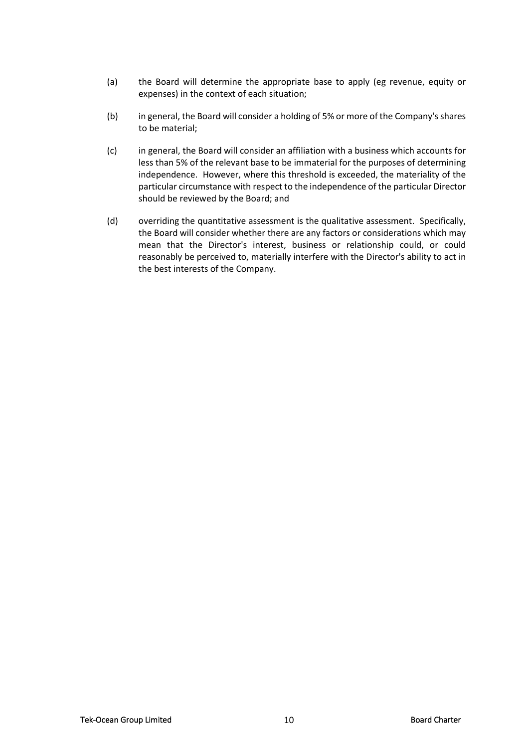- (a) the Board will determine the appropriate base to apply (eg revenue, equity or expenses) in the context of each situation;
- (b) in general, the Board will consider a holding of 5% or more of the Company's shares to be material;
- (c) in general, the Board will consider an affiliation with a business which accounts for less than 5% of the relevant base to be immaterial for the purposes of determining independence. However, where this threshold is exceeded, the materiality of the particular circumstance with respect to the independence of the particular Director should be reviewed by the Board; and
- (d) overriding the quantitative assessment is the qualitative assessment. Specifically, the Board will consider whether there are any factors or considerations which may mean that the Director's interest, business or relationship could, or could reasonably be perceived to, materially interfere with the Director's ability to act in the best interests of the Company.